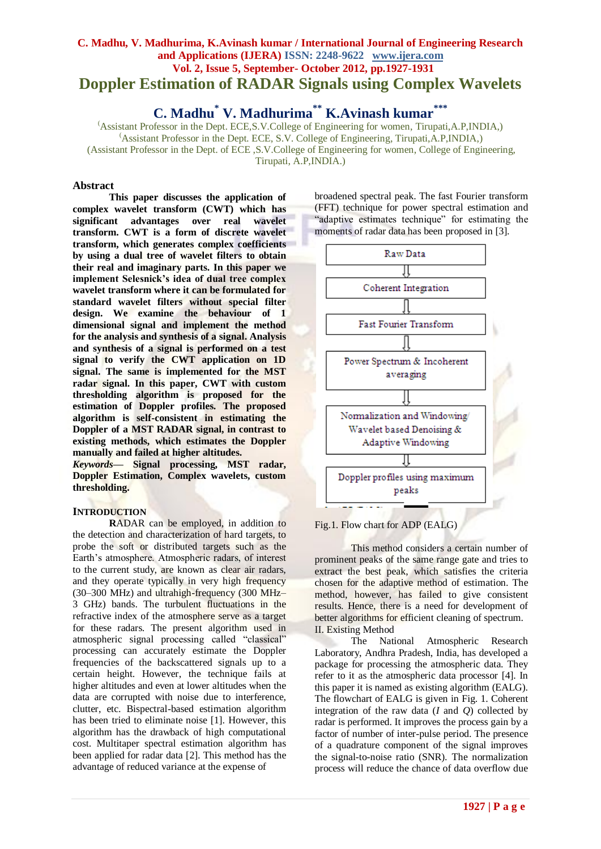# **C. Madhu, V. Madhurima, K.Avinash kumar / International Journal of Engineering Research and Applications (IJERA) ISSN: 2248-9622 www.ijera.com Vol. 2, Issue 5, September- October 2012, pp.1927-1931 Doppler Estimation of RADAR Signals using Complex Wavelets**

**C. Madhu\* V. Madhurima\*\* K.Avinash kumar\*\*\***

(Assistant Professor in the Dept. ECE,S.V.College of Engineering for women, Tirupati,A.P,INDIA,) (Assistant Professor in the Dept. ECE, S.V. College of Engineering, Tirupati,A.P,INDIA,) (Assistant Professor in the Dept. of ECE ,S.V.College of Engineering for women, College of Engineering, Tirupati, A.P,INDIA.)

## **Abstract**

**This paper discusses the application of complex wavelet transform (CWT) which has significant advantages over real wavelet transform. CWT is a form of discrete wavelet transform, which generates complex coefficients by using a dual tree of wavelet filters to obtain their real and imaginary parts. In this paper we implement Selesnick's idea of dual tree complex wavelet transform where it can be formulated for standard wavelet filters without special filter design. We examine the behaviour of 1 dimensional signal and implement the method for the analysis and synthesis of a signal. Analysis and synthesis of a signal is performed on a test signal to verify the CWT application on 1D signal. The same is implemented for the MST radar signal. In this paper, CWT with custom thresholding algorithm is proposed for the estimation of Doppler profiles. The proposed algorithm is self-consistent in estimating the Doppler of a MST RADAR signal, in contrast to existing methods, which estimates the Doppler manually and failed at higher altitudes.** 

*Keywords***— Signal processing, MST radar, Doppler Estimation, Complex wavelets, custom thresholding.**

## **INTRODUCTION**

**R**ADAR can be employed, in addition to the detection and characterization of hard targets, to probe the soft or distributed targets such as the Earth"s atmosphere. Atmospheric radars, of interest to the current study, are known as clear air radars, and they operate typically in very high frequency (30–300 MHz) and ultrahigh-frequency (300 MHz– 3 GHz) bands. The turbulent fluctuations in the refractive index of the atmosphere serve as a target for these radars. The present algorithm used in atmospheric signal processing called "classical" processing can accurately estimate the Doppler frequencies of the backscattered signals up to a certain height. However, the technique fails at higher altitudes and even at lower altitudes when the data are corrupted with noise due to interference, clutter, etc. Bispectral-based estimation algorithm has been tried to eliminate noise [1]. However, this algorithm has the drawback of high computational cost. Multitaper spectral estimation algorithm has been applied for radar data [2]. This method has the advantage of reduced variance at the expense of

broadened spectral peak. The fast Fourier transform (FFT) technique for power spectral estimation and "adaptive estimates technique" for estimating the moments of radar data has been proposed in [3].



#### Fig.1. Flow chart for ADP (EALG)

This method considers a certain number of prominent peaks of the same range gate and tries to extract the best peak, which satisfies the criteria chosen for the adaptive method of estimation. The method, however, has failed to give consistent results. Hence, there is a need for development of better algorithms for efficient cleaning of spectrum. II. Existing Method

The National Atmospheric Research Laboratory, Andhra Pradesh, India, has developed a package for processing the atmospheric data. They refer to it as the atmospheric data processor [4]. In this paper it is named as existing algorithm (EALG). The flowchart of EALG is given in Fig. 1. Coherent integration of the raw data  $(I \text{ and } Q)$  collected by radar is performed. It improves the process gain by a factor of number of inter-pulse period. The presence of a quadrature component of the signal improves the signal-to-noise ratio (SNR). The normalization process will reduce the chance of data overflow due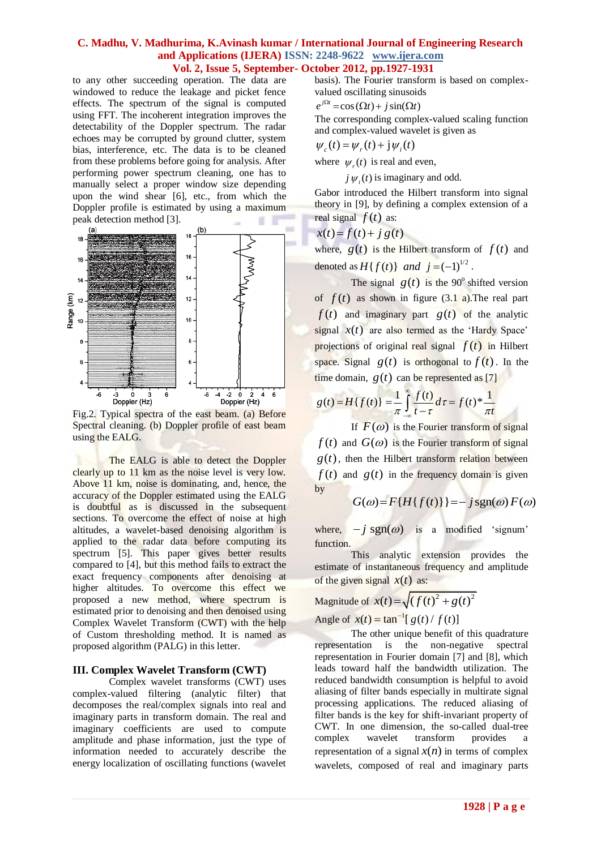to any other succeeding operation. The data are windowed to reduce the leakage and picket fence effects. The spectrum of the signal is computed using FFT. The incoherent integration improves the detectability of the Doppler spectrum. The radar echoes may be corrupted by ground clutter, system bias, interference, etc. The data is to be cleaned from these problems before going for analysis. After performing power spectrum cleaning, one has to manually select a proper window size depending upon the wind shear [6], etc., from which the Doppler profile is estimated by using a maximum peak detection method [3].



Fig.2. Typical spectra of the east beam. (a) Before Spectral cleaning. (b) Doppler profile of east beam using the EALG.

The EALG is able to detect the Doppler clearly up to 11 km as the noise level is very low. Above 11 km, noise is dominating, and, hence, the accuracy of the Doppler estimated using the EALG is doubtful as is discussed in the subsequent sections. To overcome the effect of noise at high altitudes, a wavelet-based denoising algorithm is applied to the radar data before computing its spectrum [5]. This paper gives better results compared to [4], but this method fails to extract the exact frequency components after denoising at higher altitudes. To overcome this effect we proposed a new method, where spectrum is estimated prior to denoising and then denoised using Complex Wavelet Transform (CWT) with the help of Custom thresholding method. It is named as proposed algorithm (PALG) in this letter.

#### **III. Complex Wavelet Transform (CWT)**

Complex wavelet transforms (CWT) uses complex-valued filtering (analytic filter) that decomposes the real/complex signals into real and imaginary parts in transform domain. The real and imaginary coefficients are used to compute amplitude and phase information, just the type of information needed to accurately describe the energy localization of oscillating functions (wavelet basis). The Fourier transform is based on complex-

valued oscillating sinusoids  

$$
e^{j\Omega t} = \cos(\Omega t) + j\sin(\Omega t)
$$

The corresponding complex-valued scaling function and complex-valued wavelet is given as

 $\psi_{c}(t) = \psi_{r}(t) + j \psi_{i}(t)$ 

where  $\psi_r(t)$  is real and even,

 $j \psi_i(t)$  is imaginary and odd.

Gabor introduced the Hilbert transform into signal theory in [9], by defining a complex extension of a real signal  $f(t)$  as:

$$
x(t) = f(t) + j g(t)
$$

where,  $g(t)$  is the Hilbert transform of  $f(t)$  and denoted as  $H\{f(t)\}\$  and  $j = (-1)^{1/2}$ .

The signal  $g(t)$  is the 90<sup>°</sup> shifted version of  $f(t)$  as shown in figure (3.1 a). The real part  $f(t)$  and imaginary part  $g(t)$  of the analytic signal  $x(t)$  are also termed as the 'Hardy Space' projections of original real signal  $f(t)$  in Hilbert space. Signal  $g(t)$  is orthogonal to  $f(t)$ . In the

time domain, 
$$
g(t)
$$
 can be represented as [7]  

$$
g(t) = H\{f(t)\} = \frac{1}{\pi} \int_{-\infty}^{\infty} \frac{f(t)}{t - \tau} d\tau = f(t)^* \frac{1}{\pi t}
$$

If  $F(\omega)$  is the Fourier transform of signal  $f(t)$  and  $G(\omega)$  is the Fourier transform of signal  $g(t)$ , then the Hilbert transform relation between  $f(t)$  and  $g(t)$  in the frequency domain is given by

$$
G(\omega) = F\{H\{f(t)\}\} = -j\operatorname{sgn}(\omega) F(\omega)
$$

where,  $-i$  sgn( $\omega$ ) is a modified 'signum' function.

This analytic extension provides the estimate of instantaneous frequency and amplitude of the given signal  $x(t)$  as:

$$
\text{Magnitude of } x(t) = \sqrt{\left(f(t)^2 + g(t)^2\right)^2}
$$

Angle of  $x(t) = \tan^{-1}[g(t) / f(t)]$ 

The other unique benefit of this quadrature representation is the non-negative spectral representation in Fourier domain [7] and [8], which leads toward half the bandwidth utilization. The reduced bandwidth consumption is helpful to avoid aliasing of filter bands especially in multirate signal processing applications. The reduced aliasing of filter bands is the key for shift-invariant property of CWT. In one dimension, the so-called dual-tree complex wavelet transform provides representation of a signal  $x(n)$  in terms of complex wavelets, composed of real and imaginary parts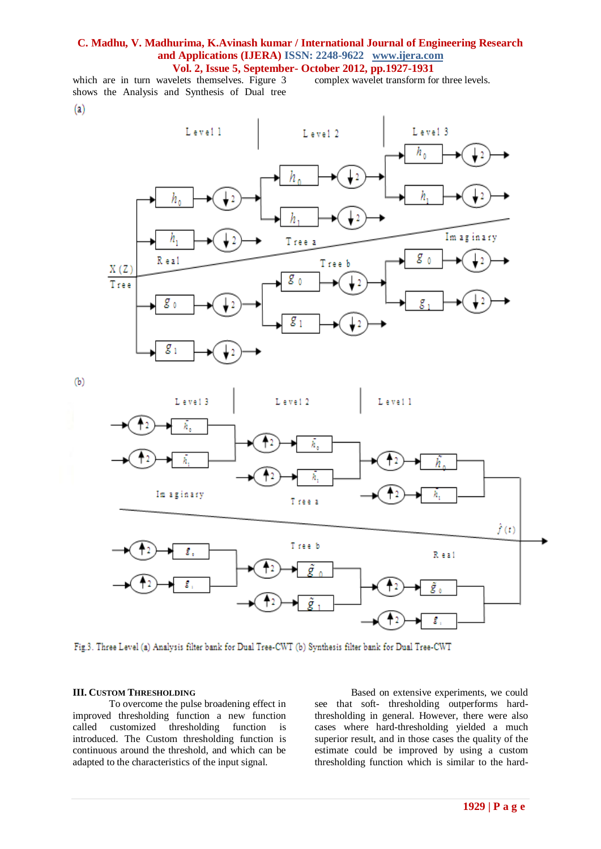which are in turn wavelets themselves. Figure 3 shows the Analysis and Synthesis of Dual tree  $\left( a\right)$ 

complex wavelet transform for three levels.



 $(b)$ 



Fig.3. Three Level (a) Analysis filter bank for Dual Tree-CWT (b) Synthesis filter bank for Dual Tree-CWT

#### **III. CUSTOM THRESHOLDING**

To overcome the pulse broadening effect in improved thresholding function a new function called customized thresholding function is introduced. The Custom thresholding function is continuous around the threshold, and which can be adapted to the characteristics of the input signal.

Based on extensive experiments, we could see that soft- thresholding outperforms hardthresholding in general. However, there were also cases where hard-thresholding yielded a much superior result, and in those cases the quality of the estimate could be improved by using a custom thresholding function which is similar to the hard-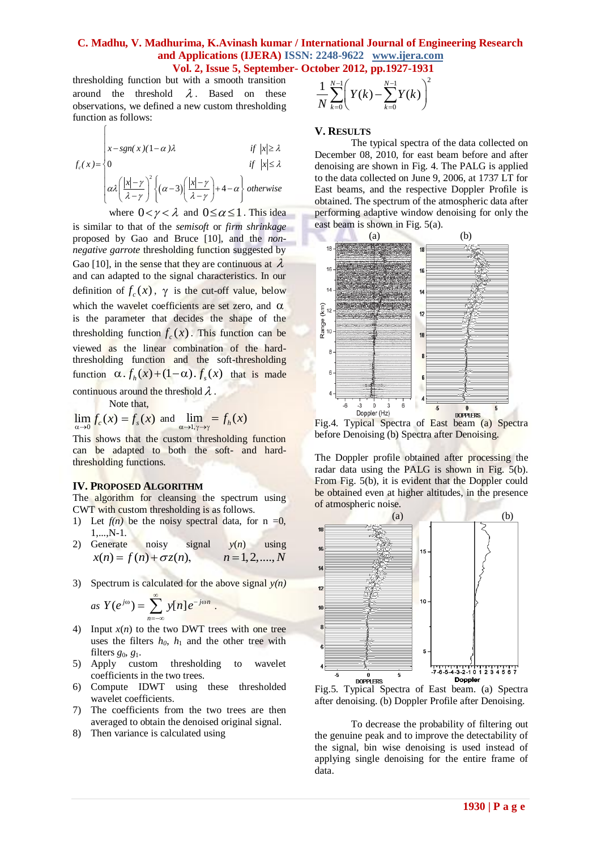thresholding function but with a smooth transition around the threshold  $\lambda$ . Based on these observations, we defined a new custom thresholding function as follows:

$$
f_c(x) = \begin{cases} x - sgn(x)(1-\alpha)\lambda & \text{if } |x| \ge \lambda \\ 0 & \text{if } |x| \le \lambda \\ \alpha \lambda \left(\frac{|x| - \gamma}{\lambda - \gamma}\right)^2 \left\{(\alpha - 3)\left(\frac{|x| - \gamma}{\lambda - \gamma}\right) + 4 - \alpha\right\} \text{ otherwise} \end{cases}
$$

where  $0 < \gamma < \lambda$  and  $0 \leq \alpha \leq 1$ . This idea is similar to that of the *semisoft* or *firm shrinkage*  proposed by Gao and Bruce [10], and the *nonnegative garrote* thresholding function suggested by Gao [10], in the sense that they are continuous at  $\lambda$ and can adapted to the signal characteristics. In our definition of  $f_c(x)$ ,  $\gamma$  is the cut-off value, below which the wavelet coefficients are set zero, and  $\alpha$ is the parameter that decides the shape of the thresholding function  $f_c(x)$ . This function can be viewed as the linear combination of the hardthresholding function and the soft-thresholding function  $\alpha \cdot f_h(x) + (1-\alpha) \cdot f_s(x)$  that is made continuous around the threshold  $\lambda$ .

Note that,

 $\left\lceil \right\rceil$ 

$$
\lim_{\alpha \to 0} f_c(x) = f_s(x)
$$
 and 
$$
\lim_{\alpha \to 1, \gamma \to \gamma} f_h(x)
$$

This shows that the custom thresholding function can be adapted to both the soft- and hardthresholding functions.

#### **IV. PROPOSED ALGORITHM**

The algorithm for cleansing the spectrum using CWT with custom thresholding is as follows.

- 1) Let  $f(n)$  be the noisy spectral data, for  $n = 0$ , 1,...,N-1.
- 2) Generate noisy signal *y*(*n*) using  $x(n) = f(n) + \sigma z(n),$   $n = 1,2,...,N$
- 3) Spectrum is calculated for the above signal  $y(n)$

as 
$$
Y(e^{j\omega}) = \sum_{n=-\infty}^{\infty} y[n] e^{-j\omega n}
$$
.

- 4) Input  $x(n)$  to the two DWT trees with one tree uses the filters  $h_0$ ,  $h_1$  and the other tree with filters  $g_0, g_1$ .
- 5) Apply custom thresholding to wavelet coefficients in the two trees.
- 6) Compute IDWT using these thresholded wavelet coefficients.
- 7) The coefficients from the two trees are then averaged to obtain the denoised original signal.
- 8) Then variance is calculated using

$$
\frac{1}{N} \sum_{k=0}^{N-1} \left( Y(k) - \sum_{k=0}^{N-1} Y(k) \right)^2
$$

## **V. RESULTS**

The typical spectra of the data collected on December 08, 2010, for east beam before and after denoising are shown in Fig. 4. The PALG is applied to the data collected on June 9, 2006, at 1737 LT for East beams, and the respective Doppler Profile is obtained. The spectrum of the atmospheric data after performing adaptive window denoising for only the east beam is shown in Fig. 5(a).



Fig.4. Typical Spectra of East beam (a) Spectra before Denoising (b) Spectra after Denoising.

The Doppler profile obtained after processing the radar data using the PALG is shown in Fig. 5(b). From Fig. 5(b), it is evident that the Doppler could be obtained even at higher altitudes, in the presence of atmospheric noise.



Fig.5. Typical Spectra of East beam. (a) Spectra after denoising. (b) Doppler Profile after Denoising.

To decrease the probability of filtering out the genuine peak and to improve the detectability of the signal, bin wise denoising is used instead of applying single denoising for the entire frame of data.